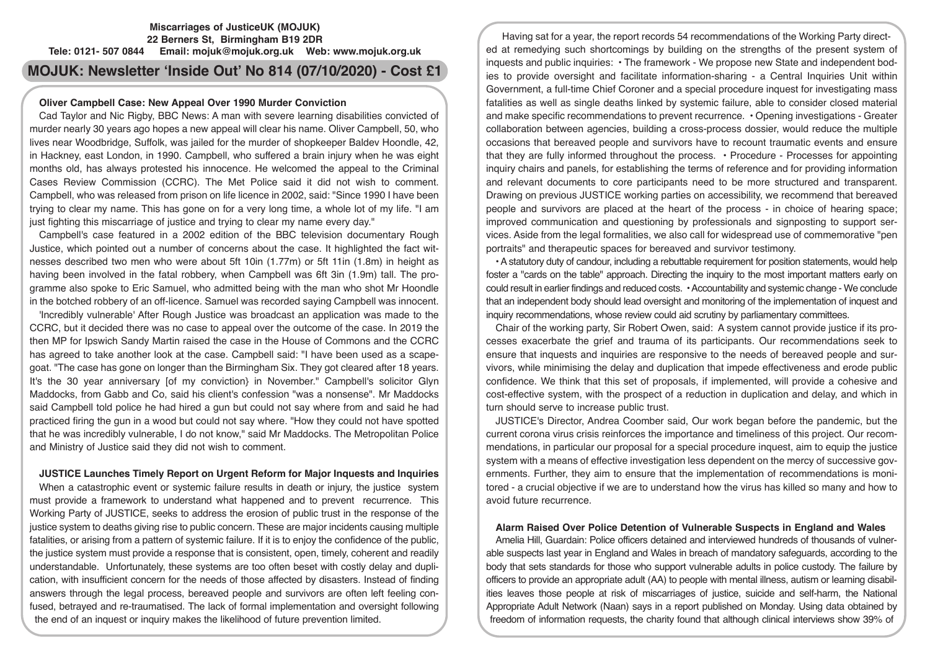## **Miscarriages of JusticeUK (MOJUK) 22 Berners St, Birmingham B19 2DR Tele: 0121- 507 0844 Email: mojuk@mojuk.org.uk Web: www.mojuk.org.uk**

# **MOJUK: Newsletter 'Inside Out' No 814 (07/10/2020) - Cost £1**

## **Oliver Campbell Case: New Appeal Over 1990 Murder Conviction**

Cad Taylor and Nic Rigby, BBC News: A man with severe learning disabilities convicted of murder nearly 30 years ago hopes a new appeal will clear his name. Oliver Campbell, 50, who lives near Woodbridge, Suffolk, was jailed for the murder of shopkeeper Baldev Hoondle, 42, in Hackney, east London, in 1990. Campbell, who suffered a brain injury when he was eight months old, has always protested his innocence. He welcomed the appeal to the Criminal Cases Review Commission (CCRC). The Met Police said it did not wish to comment. Campbell, who was released from prison on life licence in 2002, said: "Since 1990 I have been trying to clear my name. This has gone on for a very long time, a whole lot of my life. "I am just fighting this miscarriage of justice and trying to clear my name every day."

Campbell's case featured in a 2002 edition of the BBC television documentary Rough Justice, which pointed out a number of concerns about the case. It highlighted the fact witnesses described two men who were about 5ft 10in (1.77m) or 5ft 11in (1.8m) in height as having been involved in the fatal robbery, when Campbell was 6ft 3in (1.9m) tall. The programme also spoke to Eric Samuel, who admitted being with the man who shot Mr Hoondle in the botched robbery of an off-licence. Samuel was recorded saying Campbell was innocent.

'Incredibly vulnerable' After Rough Justice was broadcast an application was made to the CCRC, but it decided there was no case to appeal over the outcome of the case. In 2019 the then MP for Ipswich Sandy Martin raised the case in the House of Commons and the CCRC has agreed to take another look at the case. Campbell said: "I have been used as a scapegoat. "The case has gone on longer than the Birmingham Six. They got cleared after 18 years. It's the 30 year anniversary [of my conviction} in November." Campbell's solicitor Glyn Maddocks, from Gabb and Co, said his client's confession "was a nonsense". Mr Maddocks said Campbell told police he had hired a gun but could not say where from and said he had practiced firing the gun in a wood but could not say where. "How they could not have spotted that he was incredibly vulnerable, I do not know," said Mr Maddocks. The Metropolitan Police and Ministry of Justice said they did not wish to comment.

## **JUSTICE Launches Timely Report on Urgent Reform for Major Inquests and Inquiries**

When a catastrophic event or systemic failure results in death or injury, the justice system must provide a framework to understand what happened and to prevent recurrence. This Working Party of JUSTICE, seeks to address the erosion of public trust in the response of the justice system to deaths giving rise to public concern. These are major incidents causing multiple fatalities, or arising from a pattern of systemic failure. If it is to enjoy the confidence of the public, the justice system must provide a response that is consistent, open, timely, coherent and readily understandable. Unfortunately, these systems are too often beset with costly delay and duplication, with insufficient concern for the needs of those affected by disasters. Instead of finding answers through the legal process, bereaved people and survivors are often left feeling confused, betrayed and re-traumatised. The lack of formal implementation and oversight following the end of an inquest or inquiry makes the likelihood of future prevention limited.

Having sat for a year, the report records 54 recommendations of the Working Party directed at remedying such shortcomings by building on the strengths of the present system of inquests and public inquiries: • The framework - We propose new State and independent bodies to provide oversight and facilitate information-sharing - a Central Inquiries Unit within Government, a full-time Chief Coroner and a special procedure inquest for investigating mass fatalities as well as single deaths linked by systemic failure, able to consider closed material and make specific recommendations to prevent recurrence. • Opening investigations - Greater collaboration between agencies, building a cross-process dossier, would reduce the multiple occasions that bereaved people and survivors have to recount traumatic events and ensure that they are fully informed throughout the process. • Procedure - Processes for appointing inquiry chairs and panels, for establishing the terms of reference and for providing information and relevant documents to core participants need to be more structured and transparent. Drawing on previous JUSTICE working parties on accessibility, we recommend that bereaved people and survivors are placed at the heart of the process - in choice of hearing space; improved communication and questioning by professionals and signposting to support services. Aside from the legal formalities, we also call for widespread use of commemorative "pen portraits" and therapeutic spaces for bereaved and survivor testimony.

• A statutory duty of candour, including a rebuttable requirement for position statements, would help foster a "cards on the table" approach. Directing the inquiry to the most important matters early on could result in earlier findings and reduced costs. • Accountability and systemic change - We conclude that an independent body should lead oversight and monitoring of the implementation of inquest and inquiry recommendations, whose review could aid scrutiny by parliamentary committees.

Chair of the working party, Sir Robert Owen, said: A system cannot provide justice if its processes exacerbate the grief and trauma of its participants. Our recommendations seek to ensure that inquests and inquiries are responsive to the needs of bereaved people and survivors, while minimising the delay and duplication that impede effectiveness and erode public confidence. We think that this set of proposals, if implemented, will provide a cohesive and cost-effective system, with the prospect of a reduction in duplication and delay, and which in turn should serve to increase public trust.

JUSTICE's Director, Andrea Coomber said, Our work began before the pandemic, but the current corona virus crisis reinforces the importance and timeliness of this project. Our recommendations, in particular our proposal for a special procedure inquest, aim to equip the justice system with a means of effective investigation less dependent on the mercy of successive governments. Further, they aim to ensure that the implementation of recommendations is monitored - a crucial objective if we are to understand how the virus has killed so many and how to avoid future recurrence.

## **Alarm Raised Over Police Detention of Vulnerable Suspects in England and Wales**

Amelia Hill, Guardain: Police officers detained and interviewed hundreds of thousands of vulnerable suspects last year in England and Wales in breach of mandatory safeguards, according to the body that sets standards for those who support vulnerable adults in police custody. The failure by officers to provide an appropriate adult (AA) to people with mental illness, autism or learning disabilities leaves those people at risk of miscarriages of justice, suicide and self-harm, the National Appropriate Adult Network (Naan) says in a report published on Monday. Using data obtained by freedom of information requests, the charity found that although clinical interviews show 39% of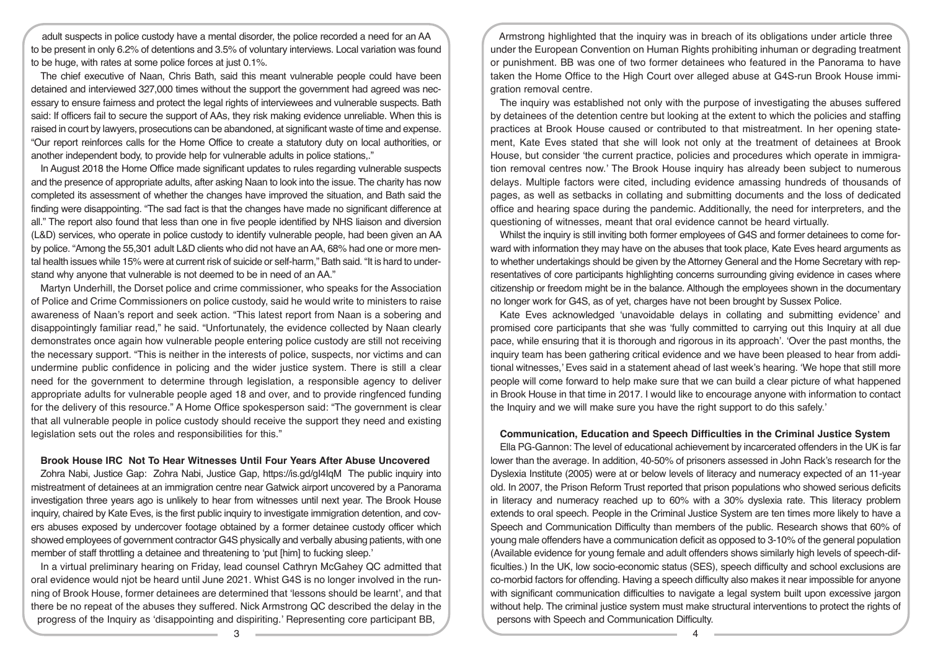adult suspects in police custody have a mental disorder, the police recorded a need for an AA to be present in only 6.2% of detentions and 3.5% of voluntary interviews. Local variation was found to be huge, with rates at some police forces at just 0.1%.

The chief executive of Naan, Chris Bath, said this meant vulnerable people could have been detained and interviewed 327,000 times without the support the government had agreed was necessary to ensure fairness and protect the legal rights of interviewees and vulnerable suspects. Bath said: If officers fail to secure the support of AAs, they risk making evidence unreliable. When this is raised in court by lawyers, prosecutions can be abandoned, at significant waste of time and expense. "Our report reinforces calls for the Home Office to create a statutory duty on local authorities, or another independent body, to provide help for vulnerable adults in police stations,."

In August 2018 the Home Office made significant updates to rules regarding vulnerable suspects and the presence of appropriate adults, after asking Naan to look into the issue. The charity has now completed its assessment of whether the changes have improved the situation, and Bath said the finding were disappointing. "The sad fact is that the changes have made no significant difference at all." The report also found that less than one in five people identified by NHS liaison and diversion (L&D) services, who operate in police custody to identify vulnerable people, had been given an AA by police. "Among the 55,301 adult L&D clients who did not have an AA, 68% had one or more mental health issues while 15% were at current risk of suicide or self-harm," Bath said. "It is hard to understand why anyone that vulnerable is not deemed to be in need of an AA."

Martyn Underhill, the Dorset police and crime commissioner, who speaks for the Association of Police and Crime Commissioners on police custody, said he would write to ministers to raise awareness of Naan's report and seek action. "This latest report from Naan is a sobering and disappointingly familiar read," he said. "Unfortunately, the evidence collected by Naan clearly demonstrates once again how vulnerable people entering police custody are still not receiving the necessary support. "This is neither in the interests of police, suspects, nor victims and can undermine public confidence in policing and the wider justice system. There is still a clear need for the government to determine through legislation, a responsible agency to deliver appropriate adults for vulnerable people aged 18 and over, and to provide ringfenced funding for the delivery of this resource." A Home Office spokesperson said: "The government is clear that all vulnerable people in police custody should receive the support they need and existing legislation sets out the roles and responsibilities for this."

## **Brook House IRC Not To Hear Witnesses Until Four Years After Abuse Uncovered**

Zohra Nabi, Justice Gap: Zohra Nabi, Justice Gap, https://is.gd/gI4IqM The public inquiry into mistreatment of detainees at an immigration centre near Gatwick airport uncovered by a Panorama investigation three years ago is unlikely to hear from witnesses until next year. The Brook House inquiry, chaired by Kate Eves, is the first public inquiry to investigate immigration detention, and covers abuses exposed by undercover footage obtained by a former detainee custody officer which showed employees of government contractor G4S physically and verbally abusing patients, with one member of staff throttling a detainee and threatening to 'put [him] to fucking sleep.'

In a virtual preliminary hearing on Friday, lead counsel Cathryn McGahey QC admitted that oral evidence would njot be heard until June 2021. Whist G4S is no longer involved in the running of Brook House, former detainees are determined that 'lessons should be learnt', and that there be no repeat of the abuses they suffered. Nick Armstrong QC described the delay in the progress of the Inquiry as 'disappointing and dispiriting.' Representing core participant BB,

Armstrong highlighted that the inquiry was in breach of its obligations under article three under the European Convention on Human Rights prohibiting inhuman or degrading treatment or punishment. BB was one of two former detainees who featured in the Panorama to have taken the Home Office to the High Court over alleged abuse at G4S-run Brook House immigration removal centre.

The inquiry was established not only with the purpose of investigating the abuses suffered by detainees of the detention centre but looking at the extent to which the policies and staffing practices at Brook House caused or contributed to that mistreatment. In her opening statement, Kate Eves stated that she will look not only at the treatment of detainees at Brook House, but consider 'the current practice, policies and procedures which operate in immigration removal centres now.' The Brook House inquiry has already been subject to numerous delays. Multiple factors were cited, including evidence amassing hundreds of thousands of pages, as well as setbacks in collating and submitting documents and the loss of dedicated office and hearing space during the pandemic. Additionally, the need for interpreters, and the questioning of witnesses, meant that oral evidence cannot be heard virtually.

Whilst the inquiry is still inviting both former employees of G4S and former detainees to come forward with information they may have on the abuses that took place, Kate Eves heard arguments as to whether undertakings should be given by the Attorney General and the Home Secretary with representatives of core participants highlighting concerns surrounding giving evidence in cases where citizenship or freedom might be in the balance. Although the employees shown in the documentary no longer work for G4S, as of yet, charges have not been brought by Sussex Police.

Kate Eves acknowledged 'unavoidable delays in collating and submitting evidence' and promised core participants that she was 'fully committed to carrying out this Inquiry at all due pace, while ensuring that it is thorough and rigorous in its approach'. 'Over the past months, the inquiry team has been gathering critical evidence and we have been pleased to hear from additional witnesses,' Eves said in a statement ahead of last week's hearing. 'We hope that still more people will come forward to help make sure that we can build a clear picture of what happened in Brook House in that time in 2017. I would like to encourage anyone with information to contact the Inquiry and we will make sure you have the right support to do this safely.'

# **Communication, Education and Speech Difficulties in the Criminal Justice System**

Ella PG-Gannon: The level of educational achievement by incarcerated offenders in the UK is far lower than the average. In addition, 40-50% of prisoners assessed in John Rack's research for the Dyslexia Institute (2005) were at or below levels of literacy and numeracy expected of an 11-year old. In 2007, the Prison Reform Trust reported that prison populations who showed serious deficits in literacy and numeracy reached up to 60% with a 30% dyslexia rate. This literacy problem extends to oral speech. People in the Criminal Justice System are ten times more likely to have a Speech and Communication Difficulty than members of the public. Research shows that 60% of young male offenders have a communication deficit as opposed to 3-10% of the general population (Available evidence for young female and adult offenders shows similarly high levels of speech-difficulties.) In the UK, low socio-economic status (SES), speech difficulty and school exclusions are co-morbid factors for offending. Having a speech difficulty also makes it near impossible for anyone with significant communication difficulties to navigate a legal system built upon excessive jargon without help. The criminal justice system must make structural interventions to protect the rights of persons with Speech and Communication Difficulty.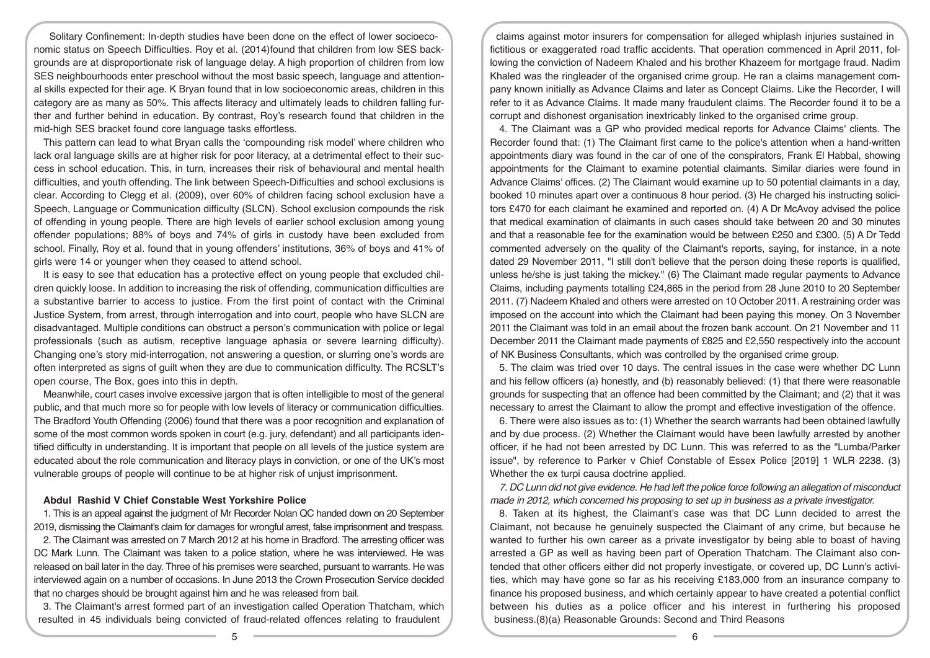Solitary Confinement: In-depth studies have been done on the effect of lower socioeconomic status on Speech Difficulties. Roy et al. (2014)found that children from low SES backgrounds are at disproportionate risk of language delay. A high proportion of children from low SES neighbourhoods enter preschool without the most basic speech, language and attentional skills expected for their age. K Bryan found that in low socioeconomic areas, children in this category are as many as 50%. This affects literacy and ultimately leads to children falling further and further behind in education. By contrast, Roy's research found that children in the mid-high SES bracket found core language tasks effortless.

This pattern can lead to what Bryan calls the 'compounding risk model' where children who lack oral language skills are at higher risk for poor literacy, at a detrimental effect to their success in school education. This, in turn, increases their risk of behavioural and mental health difficulties, and youth offending. The link between Speech-Difficulties and school exclusions is clear. According to Clegg et al. (2009), over 60% of children facing school exclusion have a Speech, Language or Communication difficulty (SLCN). School exclusion compounds the risk of offending in young people. There are high levels of earlier school exclusion among young offender populations; 88% of boys and 74% of girls in custody have been excluded from school. Finally, Roy et al. found that in young offenders' institutions, 36% of boys and 41% of girls were 14 or younger when they ceased to attend school.

It is easy to see that education has a protective effect on young people that excluded children quickly loose. In addition to increasing the risk of offending, communication difficulties are a substantive barrier to access to justice. From the first point of contact with the Criminal Justice System, from arrest, through interrogation and into court, people who have SLCN are disadvantaged. Multiple conditions can obstruct a person's communication with police or legal professionals (such as autism, receptive language aphasia or severe learning difficulty). Changing one's story mid-interrogation, not answering a question, or slurring one's words are often interpreted as signs of guilt when they are due to communication difficulty. The RCSLT's open course, The Box, goes into this in depth.

Meanwhile, court cases involve excessive jargon that is often intelligible to most of the general public, and that much more so for people with low levels of literacy or communication difficulties. The Bradford Youth Offending (2006) found that there was a poor recognition and explanation of some of the most common words spoken in court (e.g. jury, defendant) and all participants identified difficulty in understanding. It is important that people on all levels of the justice system are educated about the role communication and literacy plays in conviction, or one of the UK's most vulnerable groups of people will continue to be at higher risk of unjust imprisonment.

## **Abdul Rashid V Chief Constable West Yorkshire Police**

1. This is an appeal against the judgment of Mr Recorder Nolan QC handed down on 20 September 2019, dismissing the Claimant's claim for damages for wrongful arrest, false imprisonment and trespass.

2. The Claimant was arrested on 7 March 2012 at his home in Bradford. The arresting officer was DC Mark Lunn. The Claimant was taken to a police station, where he was interviewed. He was released on bail later in the day. Three of his premises were searched, pursuant to warrants. He was interviewed again on a number of occasions. In June 2013 the Crown Prosecution Service decided that no charges should be brought against him and he was released from bail.

3. The Claimant's arrest formed part of an investigation called Operation Thatcham, which resulted in 45 individuals being convicted of fraud-related offences relating to fraudulent

claims against motor insurers for compensation for alleged whiplash injuries sustained in fictitious or exaggerated road traffic accidents. That operation commenced in April 2011, following the conviction of Nadeem Khaled and his brother Khazeem for mortgage fraud. Nadim Khaled was the ringleader of the organised crime group. He ran a claims management company known initially as Advance Claims and later as Concept Claims. Like the Recorder, I will refer to it as Advance Claims. It made many fraudulent claims. The Recorder found it to be a corrupt and dishonest organisation inextricably linked to the organised crime group.

4. The Claimant was a GP who provided medical reports for Advance Claims' clients. The Recorder found that: (1) The Claimant first came to the police's attention when a hand-written appointments diary was found in the car of one of the conspirators, Frank El Habbal, showing appointments for the Claimant to examine potential claimants. Similar diaries were found in Advance Claims' offices. (2) The Claimant would examine up to 50 potential claimants in a day, booked 10 minutes apart over a continuous 8 hour period. (3) He charged his instructing solicitors £470 for each claimant he examined and reported on. (4) A Dr McAvoy advised the police that medical examination of claimants in such cases should take between 20 and 30 minutes and that a reasonable fee for the examination would be between £250 and £300. (5) A Dr Tedd commented adversely on the quality of the Claimant's reports, saying, for instance, in a note dated 29 November 2011, "I still don't believe that the person doing these reports is qualified, unless he/she is just taking the mickey." (6) The Claimant made regular payments to Advance Claims, including payments totalling £24,865 in the period from 28 June 2010 to 20 September 2011. (7) Nadeem Khaled and others were arrested on 10 October 2011. A restraining order was imposed on the account into which the Claimant had been paying this money. On 3 November 2011 the Claimant was told in an email about the frozen bank account. On 21 November and 11 December 2011 the Claimant made payments of £825 and £2,550 respectively into the account of NK Business Consultants, which was controlled by the organised crime group.

5. The claim was tried over 10 days. The central issues in the case were whether DC Lunn and his fellow officers (a) honestly, and (b) reasonably believed: (1) that there were reasonable grounds for suspecting that an offence had been committed by the Claimant; and (2) that it was necessary to arrest the Claimant to allow the prompt and effective investigation of the offence.

6. There were also issues as to: (1) Whether the search warrants had been obtained lawfully and by due process. (2) Whether the Claimant would have been lawfully arrested by another officer, if he had not been arrested by DC Lunn. This was referred to as the "Lumba/Parker issue", by reference to Parker v Chief Constable of Essex Police [2019] 1 WLR 2238. (3) Whether the ex turpi causa doctrine applied.

*7. DC Lunn did not give evidence. He had left the police force following an allegation of misconduct made in 2012, which concerned his proposing to set up in business as a private investigator.* 

8. Taken at its highest, the Claimant's case was that DC Lunn decided to arrest the Claimant, not because he genuinely suspected the Claimant of any crime, but because he wanted to further his own career as a private investigator by being able to boast of having arrested a GP as well as having been part of Operation Thatcham. The Claimant also contended that other officers either did not properly investigate, or covered up, DC Lunn's activities, which may have gone so far as his receiving £183,000 from an insurance company to finance his proposed business, and which certainly appear to have created a potential conflict between his duties as a police officer and his interest in furthering his proposed business.(8)(a) Reasonable Grounds: Second and Third Reasons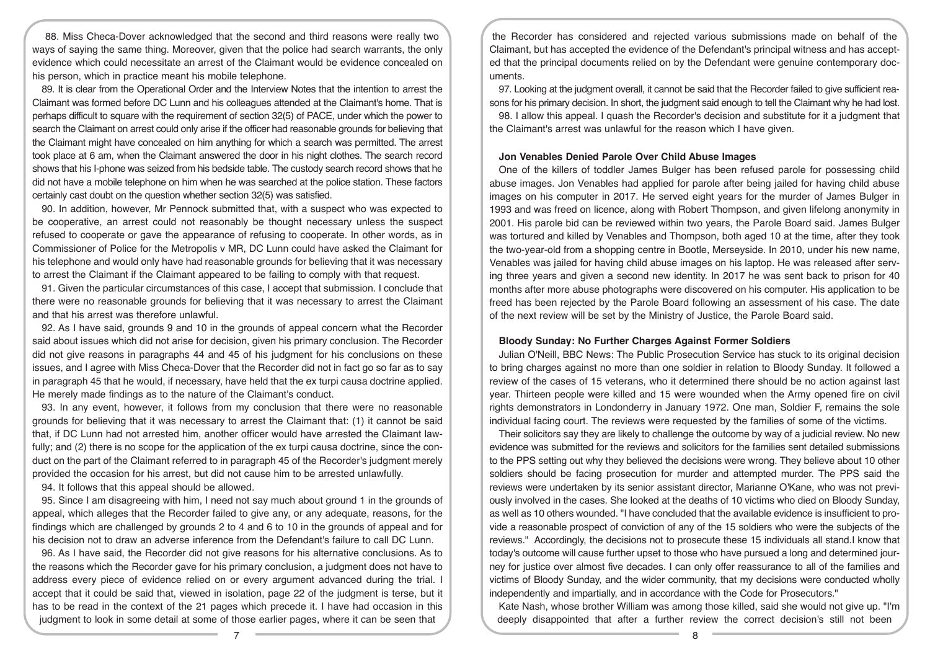88. Miss Checa-Dover acknowledged that the second and third reasons were really two ways of saying the same thing. Moreover, given that the police had search warrants, the only evidence which could necessitate an arrest of the Claimant would be evidence concealed on his person, which in practice meant his mobile telephone.

89. It is clear from the Operational Order and the Interview Notes that the intention to arrest the Claimant was formed before DC Lunn and his colleagues attended at the Claimant's home. That is perhaps difficult to square with the requirement of section 32(5) of PACE, under which the power to search the Claimant on arrest could only arise if the officer had reasonable grounds for believing that the Claimant might have concealed on him anything for which a search was permitted. The arrest took place at 6 am, when the Claimant answered the door in his night clothes. The search record shows that his I-phone was seized from his bedside table. The custody search record shows that he did not have a mobile telephone on him when he was searched at the police station. These factors certainly cast doubt on the question whether section 32(5) was satisfied.

90. In addition, however, Mr Pennock submitted that, with a suspect who was expected to be cooperative, an arrest could not reasonably be thought necessary unless the suspect refused to cooperate or gave the appearance of refusing to cooperate. In other words, as in Commissioner of Police for the Metropolis v MR, DC Lunn could have asked the Claimant for his telephone and would only have had reasonable grounds for believing that it was necessary to arrest the Claimant if the Claimant appeared to be failing to comply with that request.

91. Given the particular circumstances of this case, I accept that submission. I conclude that there were no reasonable grounds for believing that it was necessary to arrest the Claimant and that his arrest was therefore unlawful.

92. As I have said, grounds 9 and 10 in the grounds of appeal concern what the Recorder said about issues which did not arise for decision, given his primary conclusion. The Recorder did not give reasons in paragraphs 44 and 45 of his judgment for his conclusions on these issues, and I agree with Miss Checa-Dover that the Recorder did not in fact go so far as to say in paragraph 45 that he would, if necessary, have held that the ex turpi causa doctrine applied. He merely made findings as to the nature of the Claimant's conduct.

93. In any event, however, it follows from my conclusion that there were no reasonable grounds for believing that it was necessary to arrest the Claimant that: (1) it cannot be said that, if DC Lunn had not arrested him, another officer would have arrested the Claimant lawfully; and (2) there is no scope for the application of the ex turpi causa doctrine, since the conduct on the part of the Claimant referred to in paragraph 45 of the Recorder's judgment merely provided the occasion for his arrest, but did not cause him to be arrested unlawfully.

94. It follows that this appeal should be allowed.

95. Since I am disagreeing with him, I need not say much about ground 1 in the grounds of appeal, which alleges that the Recorder failed to give any, or any adequate, reasons, for the findings which are challenged by grounds 2 to 4 and 6 to 10 in the grounds of appeal and for his decision not to draw an adverse inference from the Defendant's failure to call DC Lunn.

96. As I have said, the Recorder did not give reasons for his alternative conclusions. As to the reasons which the Recorder gave for his primary conclusion, a judgment does not have to address every piece of evidence relied on or every argument advanced during the trial. I accept that it could be said that, viewed in isolation, page 22 of the judgment is terse, but it has to be read in the context of the 21 pages which precede it. I have had occasion in this judgment to look in some detail at some of those earlier pages, where it can be seen that

the Recorder has considered and rejected various submissions made on behalf of the Claimant, but has accepted the evidence of the Defendant's principal witness and has accepted that the principal documents relied on by the Defendant were genuine contemporary documents.

97. Looking at the judgment overall, it cannot be said that the Recorder failed to give sufficient reasons for his primary decision. In short, the judgment said enough to tell the Claimant why he had lost. 98. I allow this appeal. I quash the Recorder's decision and substitute for it a judgment that the Claimant's arrest was unlawful for the reason which I have given.

## **Jon Venables Denied Parole Over Child Abuse Images**

One of the killers of toddler James Bulger has been refused parole for possessing child abuse images. Jon Venables had applied for parole after being jailed for having child abuse images on his computer in 2017. He served eight years for the murder of James Bulger in 1993 and was freed on licence, along with Robert Thompson, and given lifelong anonymity in 2001. His parole bid can be reviewed within two years, the Parole Board said. James Bulger was tortured and killed by Venables and Thompson, both aged 10 at the time, after they took the two-year-old from a shopping centre in Bootle, Merseyside. In 2010, under his new name, Venables was jailed for having child abuse images on his laptop. He was released after serving three years and given a second new identity. In 2017 he was sent back to prison for 40 months after more abuse photographs were discovered on his computer. His application to be freed has been rejected by the Parole Board following an assessment of his case. The date of the next review will be set by the Ministry of Justice, the Parole Board said.

#### **Bloody Sunday: No Further Charges Against Former Soldiers**

Julian O'Neill, BBC News: The Public Prosecution Service has stuck to its original decision to bring charges against no more than one soldier in relation to Bloody Sunday. It followed a review of the cases of 15 veterans, who it determined there should be no action against last year. Thirteen people were killed and 15 were wounded when the Army opened fire on civil rights demonstrators in Londonderry in January 1972. One man, Soldier F, remains the sole individual facing court. The reviews were requested by the families of some of the victims.

Their solicitors say they are likely to challenge the outcome by way of a judicial review. No new evidence was submitted for the reviews and solicitors for the families sent detailed submissions to the PPS setting out why they believed the decisions were wrong. They believe about 10 other soldiers should be facing prosecution for murder and attempted murder. The PPS said the reviews were undertaken by its senior assistant director, Marianne O'Kane, who was not previously involved in the cases. She looked at the deaths of 10 victims who died on Bloody Sunday, as well as 10 others wounded. "I have concluded that the available evidence is insufficient to provide a reasonable prospect of conviction of any of the 15 soldiers who were the subjects of the reviews." Accordingly, the decisions not to prosecute these 15 individuals all stand.I know that today's outcome will cause further upset to those who have pursued a long and determined journey for justice over almost five decades. I can only offer reassurance to all of the families and victims of Bloody Sunday, and the wider community, that my decisions were conducted wholly independently and impartially, and in accordance with the Code for Prosecutors."

Kate Nash, whose brother William was among those killed, said she would not give up. "I'm deeply disappointed that after a further review the correct decision's still not been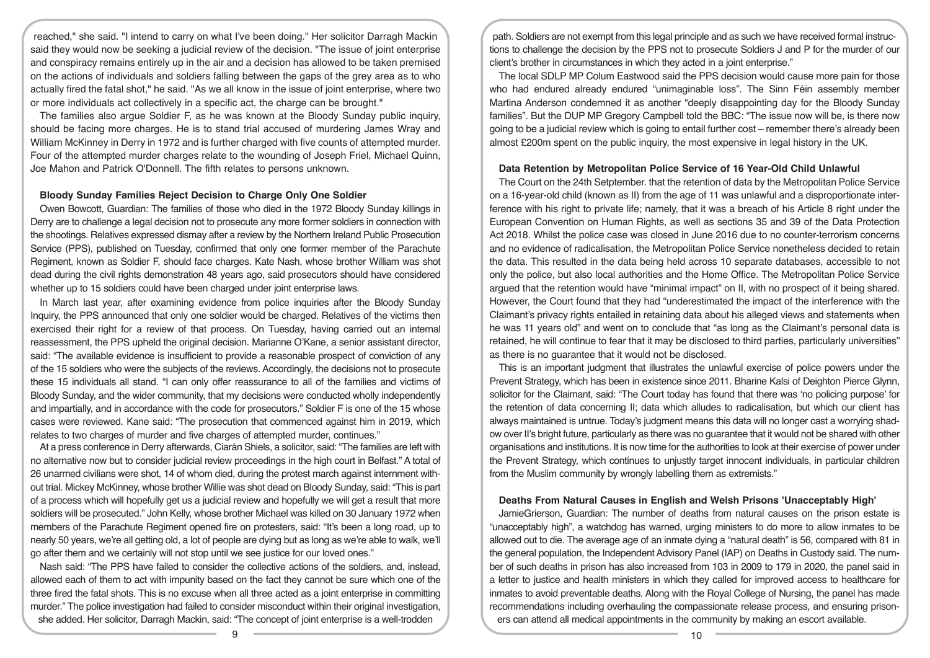reached," she said. "I intend to carry on what I've been doing." Her solicitor Darragh Mackin said they would now be seeking a judicial review of the decision. "The issue of joint enterprise and conspiracy remains entirely up in the air and a decision has allowed to be taken premised on the actions of individuals and soldiers falling between the gaps of the grey area as to who actually fired the fatal shot," he said. "As we all know in the issue of joint enterprise, where two or more individuals act collectively in a specific act, the charge can be brought."

The families also argue Soldier F, as he was known at the Bloody Sunday public inquiry, should be facing more charges. He is to stand trial accused of murdering James Wray and William McKinney in Derry in 1972 and is further charged with five counts of attempted murder. Four of the attempted murder charges relate to the wounding of Joseph Friel, Michael Quinn, Joe Mahon and Patrick O'Donnell. The fifth relates to persons unknown.

## **Bloody Sunday Families Reject Decision to Charge Only One Soldier**

Owen Bowcott, Guardian: The families of those who died in the 1972 Bloody Sunday killings in Derry are to challenge a legal decision not to prosecute any more former soldiers in connection with the shootings. Relatives expressed dismay after a review by the Northern Ireland Public Prosecution Service (PPS), published on Tuesday, confirmed that only one former member of the Parachute Regiment, known as Soldier F, should face charges. Kate Nash, whose brother William was shot dead during the civil rights demonstration 48 years ago, said prosecutors should have considered whether up to 15 soldiers could have been charged under joint enterprise laws.

In March last year, after examining evidence from police inquiries after the Bloody Sunday Inquiry, the PPS announced that only one soldier would be charged. Relatives of the victims then exercised their right for a review of that process. On Tuesday, having carried out an internal reassessment, the PPS upheld the original decision. Marianne O'Kane, a senior assistant director, said: "The available evidence is insufficient to provide a reasonable prospect of conviction of any of the 15 soldiers who were the subjects of the reviews. Accordingly, the decisions not to prosecute these 15 individuals all stand. "I can only offer reassurance to all of the families and victims of Bloody Sunday, and the wider community, that my decisions were conducted wholly independently and impartially, and in accordance with the code for prosecutors." Soldier F is one of the 15 whose cases were reviewed. Kane said: "The prosecution that commenced against him in 2019, which relates to two charges of murder and five charges of attempted murder, continues."

At a press conference in Derry afterwards, Ciarán Shiels, a solicitor, said: "The families are left with no alternative now but to consider judicial review proceedings in the high court in Belfast." A total of 26 unarmed civilians were shot, 14 of whom died, during the protest march against internment without trial. Mickey McKinney, whose brother Willie was shot dead on Bloody Sunday, said: "This is part of a process which will hopefully get us a judicial review and hopefully we will get a result that more soldiers will be prosecuted." John Kelly, whose brother Michael was killed on 30 January 1972 when members of the Parachute Regiment opened fire on protesters, said: "It's been a long road, up to nearly 50 years, we're all getting old, a lot of people are dying but as long as we're able to walk, we'll go after them and we certainly will not stop until we see justice for our loved ones."

Nash said: "The PPS have failed to consider the collective actions of the soldiers, and, instead, allowed each of them to act with impunity based on the fact they cannot be sure which one of the three fired the fatal shots. This is no excuse when all three acted as a joint enterprise in committing murder." The police investigation had failed to consider misconduct within their original investigation, she added. Her solicitor, Darragh Mackin, said: "The concept of joint enterprise is a well-trodden

path. Soldiers are not exempt from this legal principle and as such we have received formal instructions to challenge the decision by the PPS not to prosecute Soldiers J and P for the murder of our client's brother in circumstances in which they acted in a joint enterprise."

The local SDLP MP Colum Eastwood said the PPS decision would cause more pain for those who had endured already endured "unimaginable loss". The Sinn Féin assembly member Martina Anderson condemned it as another "deeply disappointing day for the Bloody Sunday families". But the DUP MP Gregory Campbell told the BBC: "The issue now will be, is there now going to be a judicial review which is going to entail further cost – remember there's already been almost £200m spent on the public inquiry, the most expensive in legal history in the UK.

#### **Data Retention by Metropolitan Police Service of 16 Year-Old Child Unlawful**

The Court on the 24th Setptember. that the retention of data by the Metropolitan Police Service on a 16-year-old child (known as II) from the age of 11 was unlawful and a disproportionate interference with his right to private life; namely, that it was a breach of his Article 8 right under the European Convention on Human Rights, as well as sections 35 and 39 of the Data Protection Act 2018. Whilst the police case was closed in June 2016 due to no counter-terrorism concerns and no evidence of radicalisation, the Metropolitan Police Service nonetheless decided to retain the data. This resulted in the data being held across 10 separate databases, accessible to not only the police, but also local authorities and the Home Office. The Metropolitan Police Service argued that the retention would have "minimal impact" on II, with no prospect of it being shared. However, the Court found that they had "underestimated the impact of the interference with the Claimant's privacy rights entailed in retaining data about his alleged views and statements when he was 11 years old" and went on to conclude that "as long as the Claimant's personal data is retained, he will continue to fear that it may be disclosed to third parties, particularly universities" as there is no guarantee that it would not be disclosed.

This is an important judgment that illustrates the unlawful exercise of police powers under the Prevent Strategy, which has been in existence since 2011. Bharine Kalsi of Deighton Pierce Glynn, solicitor for the Claimant, said: "The Court today has found that there was 'no policing purpose' for the retention of data concerning II; data which alludes to radicalisation, but which our client has always maintained is untrue. Today's judgment means this data will no longer cast a worrying shadow over II's bright future, particularly as there was no guarantee that it would not be shared with other organisations and institutions. It is now time for the authorities to look at their exercise of power under the Prevent Strategy, which continues to unjustly target innocent individuals, in particular children from the Muslim community by wrongly labelling them as extremists."

## **Deaths From Natural Causes in English and Welsh Prisons 'Unacceptably High'**

JamieGrierson, Guardian: The number of deaths from natural causes on the prison estate is "unacceptably high", a watchdog has warned, urging ministers to do more to allow inmates to be allowed out to die. The average age of an inmate dying a "natural death" is 56, compared with 81 in the general population, the Independent Advisory Panel (IAP) on Deaths in Custody said. The number of such deaths in prison has also increased from 103 in 2009 to 179 in 2020, the panel said in a letter to justice and health ministers in which they called for improved access to healthcare for inmates to avoid preventable deaths. Along with the Royal College of Nursing, the panel has made recommendations including overhauling the compassionate release process, and ensuring prisoners can attend all medical appointments in the community by making an escort available.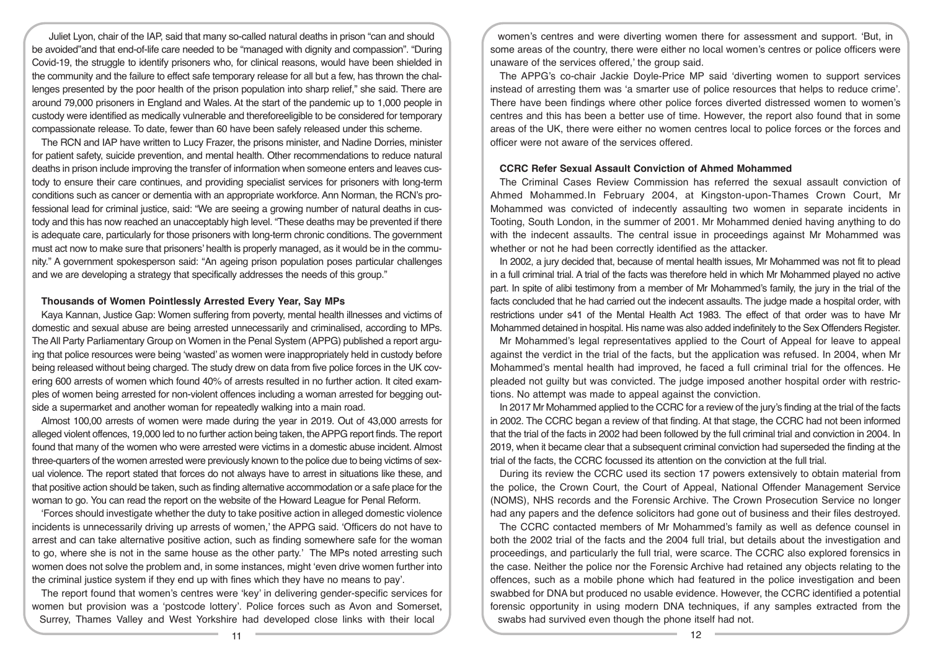Juliet Lyon, chair of the IAP, said that many so-called natural deaths in prison "can and should be avoided"and that end-of-life care needed to be "managed with dignity and compassion". "During Covid-19, the struggle to identify prisoners who, for clinical reasons, would have been shielded in the community and the failure to effect safe temporary release for all but a few, has thrown the challenges presented by the poor health of the prison population into sharp relief," she said. There are around 79,000 prisoners in England and Wales. At the start of the pandemic up to 1,000 people in custody were identified as medically vulnerable and thereforeeligible to be considered for temporary compassionate release. To date, fewer than 60 have been safely released under this scheme.

The RCN and IAP have written to Lucy Frazer, the prisons minister, and Nadine Dorries, minister for patient safety, suicide prevention, and mental health. Other recommendations to reduce natural deaths in prison include improving the transfer of information when someone enters and leaves custody to ensure their care continues, and providing specialist services for prisoners with long-term conditions such as cancer or dementia with an appropriate workforce. Ann Norman, the RCN's professional lead for criminal justice, said: "We are seeing a growing number of natural deaths in custody and this has now reached an unacceptably high level. "These deaths may be prevented if there is adequate care, particularly for those prisoners with long-term chronic conditions. The government must act now to make sure that prisoners' health is properly managed, as it would be in the community." A government spokesperson said: "An ageing prison population poses particular challenges and we are developing a strategy that specifically addresses the needs of this group."

## **Thousands of Women Pointlessly Arrested Every Year, Say MPs**

Kaya Kannan, Justice Gap: Women suffering from poverty, mental health illnesses and victims of domestic and sexual abuse are being arrested unnecessarily and criminalised, according to MPs. The All Party Parliamentary Group on Women in the Penal System (APPG) published a report arguing that police resources were being 'wasted' as women were inappropriately held in custody before being released without being charged. The study drew on data from five police forces in the UK covering 600 arrests of women which found 40% of arrests resulted in no further action. It cited examples of women being arrested for non-violent offences including a woman arrested for begging outside a supermarket and another woman for repeatedly walking into a main road.

Almost 100,00 arrests of women were made during the year in 2019. Out of 43,000 arrests for alleged violent offences, 19,000 led to no further action being taken, the APPG report finds. The report found that many of the women who were arrested were victims in a domestic abuse incident. Almost three-quarters of the women arrested were previously known to the police due to being victims of sexual violence. The report stated that forces do not always have to arrest in situations like these, and that positive action should be taken, such as finding alternative accommodation or a safe place for the woman to go. You can read the report on the website of the Howard League for Penal Reform.

'Forces should investigate whether the duty to take positive action in alleged domestic violence incidents is unnecessarily driving up arrests of women,' the APPG said. 'Officers do not have to arrest and can take alternative positive action, such as finding somewhere safe for the woman to go, where she is not in the same house as the other party.' The MPs noted arresting such women does not solve the problem and, in some instances, might 'even drive women further into the criminal justice system if they end up with fines which they have no means to pay'.

The report found that women's centres were 'key' in delivering gender-specific services for women but provision was a 'postcode lottery'. Police forces such as Avon and Somerset, Surrey, Thames Valley and West Yorkshire had developed close links with their local

women's centres and were diverting women there for assessment and support. 'But, in some areas of the country, there were either no local women's centres or police officers were unaware of the services offered,' the group said.

The APPG's co-chair Jackie Doyle-Price MP said 'diverting women to support services instead of arresting them was 'a smarter use of police resources that helps to reduce crime'. There have been findings where other police forces diverted distressed women to women's centres and this has been a better use of time. However, the report also found that in some areas of the UK, there were either no women centres local to police forces or the forces and officer were not aware of the services offered.

# **CCRC Refer Sexual Assault Conviction of Ahmed Mohammed**

The Criminal Cases Review Commission has referred the sexual assault conviction of Ahmed Mohammed.In February 2004, at Kingston-upon-Thames Crown Court, Mr Mohammed was convicted of indecently assaulting two women in separate incidents in Tooting, South London, in the summer of 2001. Mr Mohammed denied having anything to do with the indecent assaults. The central issue in proceedings against Mr Mohammed was whether or not he had been correctly identified as the attacker.

In 2002, a jury decided that, because of mental health issues, Mr Mohammed was not fit to plead in a full criminal trial. A trial of the facts was therefore held in which Mr Mohammed played no active part. In spite of alibi testimony from a member of Mr Mohammed's family, the jury in the trial of the facts concluded that he had carried out the indecent assaults. The judge made a hospital order, with restrictions under s41 of the Mental Health Act 1983. The effect of that order was to have Mr Mohammed detained in hospital. His name was also added indefinitely to the Sex Offenders Register.

Mr Mohammed's legal representatives applied to the Court of Appeal for leave to appeal against the verdict in the trial of the facts, but the application was refused. In 2004, when Mr Mohammed's mental health had improved, he faced a full criminal trial for the offences. He pleaded not guilty but was convicted. The judge imposed another hospital order with restrictions. No attempt was made to appeal against the conviction.

In 2017 Mr Mohammed applied to the CCRC for a review of the jury's finding at the trial of the facts in 2002. The CCRC began a review of that finding. At that stage, the CCRC had not been informed that the trial of the facts in 2002 had been followed by the full criminal trial and conviction in 2004. In 2019, when it became clear that a subsequent criminal conviction had superseded the finding at the trial of the facts, the CCRC focussed its attention on the conviction at the full trial.

During its review the CCRC used its section 17 powers extensively to obtain material from the police, the Crown Court, the Court of Appeal, National Offender Management Service (NOMS), NHS records and the Forensic Archive. The Crown Prosecution Service no longer had any papers and the defence solicitors had gone out of business and their files destroyed.

The CCRC contacted members of Mr Mohammed's family as well as defence counsel in both the 2002 trial of the facts and the 2004 full trial, but details about the investigation and proceedings, and particularly the full trial, were scarce. The CCRC also explored forensics in the case. Neither the police nor the Forensic Archive had retained any objects relating to the offences, such as a mobile phone which had featured in the police investigation and been swabbed for DNA but produced no usable evidence. However, the CCRC identified a potential forensic opportunity in using modern DNA techniques, if any samples extracted from the swabs had survived even though the phone itself had not.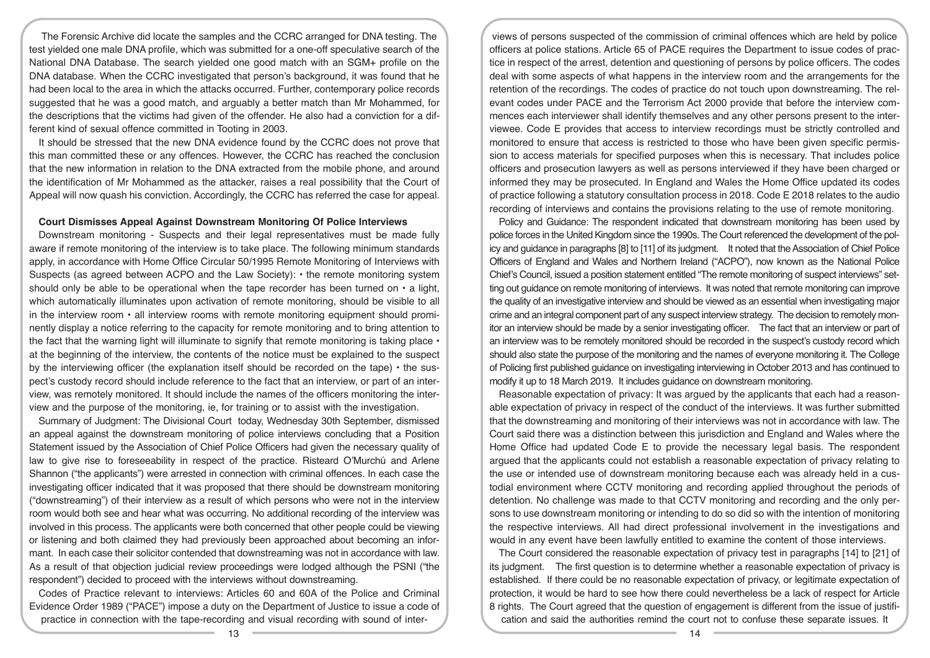The Forensic Archive did locate the samples and the CCRC arranged for DNA testing. The test yielded one male DNA profile, which was submitted for a one-off speculative search of the National DNA Database. The search yielded one good match with an SGM+ profile on the DNA database. When the CCRC investigated that person's background, it was found that he had been local to the area in which the attacks occurred. Further, contemporary police records suggested that he was a good match, and arguably a better match than Mr Mohammed, for the descriptions that the victims had given of the offender. He also had a conviction for a different kind of sexual offence committed in Tooting in 2003.

It should be stressed that the new DNA evidence found by the CCRC does not prove that this man committed these or any offences. However, the CCRC has reached the conclusion that the new information in relation to the DNA extracted from the mobile phone, and around the identification of Mr Mohammed as the attacker, raises a real possibility that the Court of Appeal will now quash his conviction. Accordingly, the CCRC has referred the case for appeal.

#### **Court Dismisses Appeal Against Downstream Monitoring Of Police Interviews**

Downstream monitoring - Suspects and their legal representatives must be made fully aware if remote monitoring of the interview is to take place. The following minimum standards apply, in accordance with Home Office Circular 50/1995 Remote Monitoring of Interviews with Suspects (as agreed between ACPO and the Law Society): • the remote monitoring system should only be able to be operational when the tape recorder has been turned on  $\cdot$  a light, which automatically illuminates upon activation of remote monitoring, should be visible to all in the interview room • all interview rooms with remote monitoring equipment should prominently display a notice referring to the capacity for remote monitoring and to bring attention to the fact that the warning light will illuminate to signify that remote monitoring is taking place • at the beginning of the interview, the contents of the notice must be explained to the suspect by the interviewing officer (the explanation itself should be recorded on the tape) • the suspect's custody record should include reference to the fact that an interview, or part of an interview, was remotely monitored. It should include the names of the officers monitoring the interview and the purpose of the monitoring, ie, for training or to assist with the investigation.

Summary of Judgment: The Divisional Court today, Wednesday 30th September, dismissed an appeal against the downstream monitoring of police interviews concluding that a Position Statement issued by the Association of Chief Police Officers had given the necessary quality of law to give rise to foreseeability in respect of the practice. Risteard O'Murchú and Arlene Shannon ("the applicants") were arrested in connection with criminal offences. In each case the investigating officer indicated that it was proposed that there should be downstream monitoring ("downstreaming") of their interview as a result of which persons who were not in the interview room would both see and hear what was occurring. No additional recording of the interview was involved in this process. The applicants were both concerned that other people could be viewing or listening and both claimed they had previously been approached about becoming an informant. In each case their solicitor contended that downstreaming was not in accordance with law. As a result of that objection judicial review proceedings were lodged although the PSNI ("the respondent") decided to proceed with the interviews without downstreaming.

Codes of Practice relevant to interviews: Articles 60 and 60A of the Police and Criminal Evidence Order 1989 ("PACE") impose a duty on the Department of Justice to issue a code of practice in connection with the tape-recording and visual recording with sound of inter-

views of persons suspected of the commission of criminal offences which are held by police officers at police stations. Article 65 of PACE requires the Department to issue codes of practice in respect of the arrest, detention and questioning of persons by police officers. The codes deal with some aspects of what happens in the interview room and the arrangements for the retention of the recordings. The codes of practice do not touch upon downstreaming. The relevant codes under PACE and the Terrorism Act 2000 provide that before the interview commences each interviewer shall identify themselves and any other persons present to the interviewee. Code E provides that access to interview recordings must be strictly controlled and monitored to ensure that access is restricted to those who have been given specific permission to access materials for specified purposes when this is necessary. That includes police officers and prosecution lawyers as well as persons interviewed if they have been charged or informed they may be prosecuted. In England and Wales the Home Office updated its codes of practice following a statutory consultation process in 2018. Code E 2018 relates to the audio recording of interviews and contains the provisions relating to the use of remote monitoring.

Policy and Guidance: The respondent indicated that downstream monitoring has been used by police forces in the United Kingdom since the 1990s. The Court referenced the development of the policy and guidance in paragraphs [8] to [11] of its judgment. It noted that the Association of Chief Police Officers of England and Wales and Northern Ireland ("ACPO"), now known as the National Police Chief's Council, issued a position statement entitled "The remote monitoring of suspect interviews" setting out guidance on remote monitoring of interviews. It was noted that remote monitoring can improve the quality of an investigative interview and should be viewed as an essential when investigating major crime and an integral component part of any suspect interview strategy. The decision to remotely monitor an interview should be made by a senior investigating officer. The fact that an interview or part of an interview was to be remotely monitored should be recorded in the suspect's custody record which should also state the purpose of the monitoring and the names of everyone monitoring it. The College of Policing first published guidance on investigating interviewing in October 2013 and has continued to modify it up to 18 March 2019. It includes guidance on downstream monitoring.

Reasonable expectation of privacy: It was argued by the applicants that each had a reasonable expectation of privacy in respect of the conduct of the interviews. It was further submitted that the downstreaming and monitoring of their interviews was not in accordance with law. The Court said there was a distinction between this jurisdiction and England and Wales where the Home Office had updated Code E to provide the necessary legal basis. The respondent argued that the applicants could not establish a reasonable expectation of privacy relating to the use or intended use of downstream monitoring because each was already held in a custodial environment where CCTV monitoring and recording applied throughout the periods of detention. No challenge was made to that CCTV monitoring and recording and the only persons to use downstream monitoring or intending to do so did so with the intention of monitoring the respective interviews. All had direct professional involvement in the investigations and would in any event have been lawfully entitled to examine the content of those interviews.

The Court considered the reasonable expectation of privacy test in paragraphs [14] to [21] of its judgment. The first question is to determine whether a reasonable expectation of privacy is established. If there could be no reasonable expectation of privacy, or legitimate expectation of protection, it would be hard to see how there could nevertheless be a lack of respect for Article 8 rights. The Court agreed that the question of engagement is different from the issue of justification and said the authorities remind the court not to confuse these separate issues. It